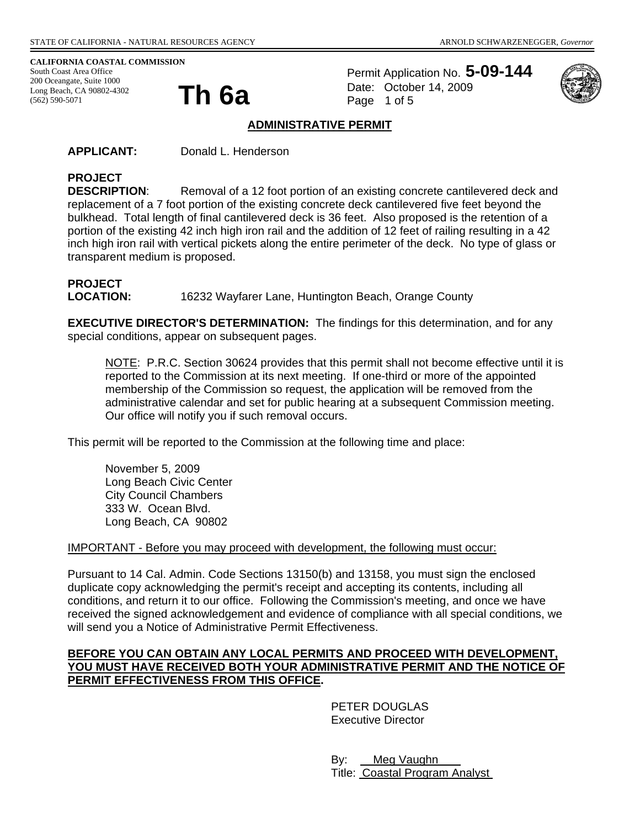**CALIFORNIA COASTAL COMMISSION** 

South Coast Area Office 200 Oceangate, Suite 1000<br>Long Beach, CA 90802-4302<br>(562) 590-5071 Long Beach, CA 90802-4302 (562) 590-5071

Permit Application No. **5-09-144** Date: October 14, 2009 Page 1 of 5



### **ADMINISTRATIVE PERMIT**

**APPLICANT:** Donald L. Henderson

## **PROJECT**

**DESCRIPTION:** Removal of a 12 foot portion of an existing concrete cantilevered deck and replacement of a 7 foot portion of the existing concrete deck cantilevered five feet beyond the bulkhead. Total length of final cantilevered deck is 36 feet. Also proposed is the retention of a portion of the existing 42 inch high iron rail and the addition of 12 feet of railing resulting in a 42 inch high iron rail with vertical pickets along the entire perimeter of the deck. No type of glass or transparent medium is proposed.

# **PROJECT**

**LOCATION:** 16232 Wayfarer Lane, Huntington Beach, Orange County

**EXECUTIVE DIRECTOR'S DETERMINATION:** The findings for this determination, and for any special conditions, appear on subsequent pages.

NOTE: P.R.C. Section 30624 provides that this permit shall not become effective until it is reported to the Commission at its next meeting. If one-third or more of the appointed membership of the Commission so request, the application will be removed from the administrative calendar and set for public hearing at a subsequent Commission meeting. Our office will notify you if such removal occurs.

This permit will be reported to the Commission at the following time and place:

November 5, 2009 Long Beach Civic Center City Council Chambers 333 W. Ocean Blvd. Long Beach, CA 90802

IMPORTANT - Before you may proceed with development, the following must occur:

Pursuant to 14 Cal. Admin. Code Sections 13150(b) and 13158, you must sign the enclosed duplicate copy acknowledging the permit's receipt and accepting its contents, including all conditions, and return it to our office. Following the Commission's meeting, and once we have received the signed acknowledgement and evidence of compliance with all special conditions, we will send you a Notice of Administrative Permit Effectiveness.

### **BEFORE YOU CAN OBTAIN ANY LOCAL PERMITS AND PROCEED WITH DEVELOPMENT, YOU MUST HAVE RECEIVED BOTH YOUR ADMINISTRATIVE PERMIT AND THE NOTICE OF PERMIT EFFECTIVENESS FROM THIS OFFICE.**

 PETER DOUGLAS Executive Director

 By: Meg Vaughn Title: Coastal Program Analyst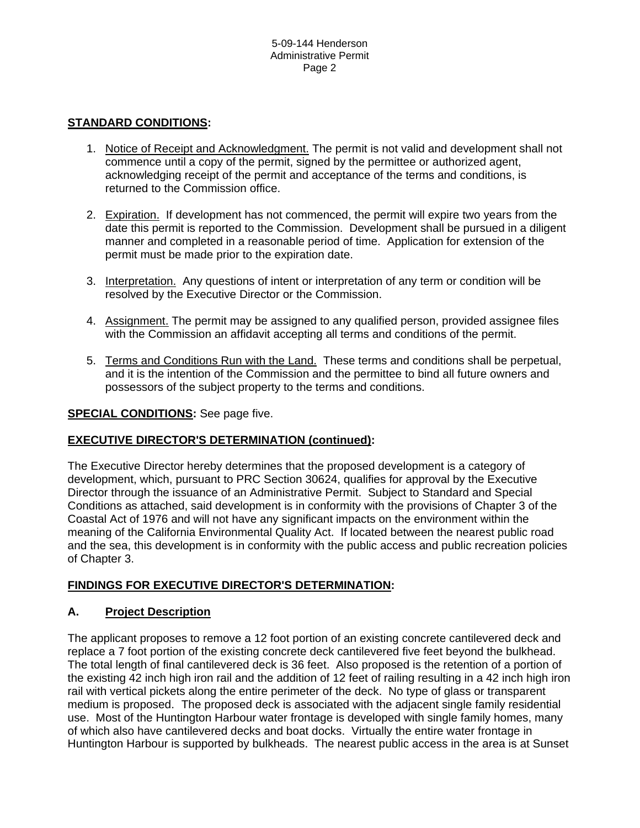### **STANDARD CONDITIONS:**

- 1. Notice of Receipt and Acknowledgment. The permit is not valid and development shall not commence until a copy of the permit, signed by the permittee or authorized agent, acknowledging receipt of the permit and acceptance of the terms and conditions, is returned to the Commission office.
- 2. Expiration. If development has not commenced, the permit will expire two years from the date this permit is reported to the Commission. Development shall be pursued in a diligent manner and completed in a reasonable period of time. Application for extension of the permit must be made prior to the expiration date.
- 3. Interpretation. Any questions of intent or interpretation of any term or condition will be resolved by the Executive Director or the Commission.
- 4. Assignment. The permit may be assigned to any qualified person, provided assignee files with the Commission an affidavit accepting all terms and conditions of the permit.
- 5. Terms and Conditions Run with the Land. These terms and conditions shall be perpetual, and it is the intention of the Commission and the permittee to bind all future owners and possessors of the subject property to the terms and conditions.

#### **SPECIAL CONDITIONS:** See page five.

## **EXECUTIVE DIRECTOR'S DETERMINATION (continued):**

The Executive Director hereby determines that the proposed development is a category of development, which, pursuant to PRC Section 30624, qualifies for approval by the Executive Director through the issuance of an Administrative Permit. Subject to Standard and Special Conditions as attached, said development is in conformity with the provisions of Chapter 3 of the Coastal Act of 1976 and will not have any significant impacts on the environment within the meaning of the California Environmental Quality Act. If located between the nearest public road and the sea, this development is in conformity with the public access and public recreation policies of Chapter 3.

## **FINDINGS FOR EXECUTIVE DIRECTOR'S DETERMINATION:**

## **A. Project Description**

The applicant proposes to remove a 12 foot portion of an existing concrete cantilevered deck and replace a 7 foot portion of the existing concrete deck cantilevered five feet beyond the bulkhead. The total length of final cantilevered deck is 36 feet. Also proposed is the retention of a portion of the existing 42 inch high iron rail and the addition of 12 feet of railing resulting in a 42 inch high iron rail with vertical pickets along the entire perimeter of the deck. No type of glass or transparent medium is proposed. The proposed deck is associated with the adjacent single family residential use. Most of the Huntington Harbour water frontage is developed with single family homes, many of which also have cantilevered decks and boat docks. Virtually the entire water frontage in Huntington Harbour is supported by bulkheads. The nearest public access in the area is at Sunset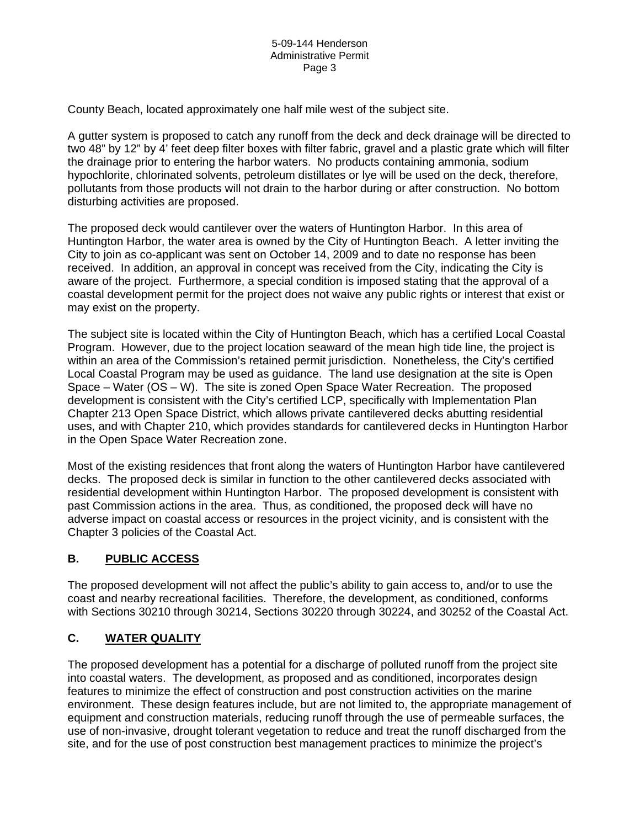County Beach, located approximately one half mile west of the subject site.

A gutter system is proposed to catch any runoff from the deck and deck drainage will be directed to two 48" by 12" by 4' feet deep filter boxes with filter fabric, gravel and a plastic grate which will filter the drainage prior to entering the harbor waters. No products containing ammonia, sodium hypochlorite, chlorinated solvents, petroleum distillates or lye will be used on the deck, therefore, pollutants from those products will not drain to the harbor during or after construction. No bottom disturbing activities are proposed.

The proposed deck would cantilever over the waters of Huntington Harbor. In this area of Huntington Harbor, the water area is owned by the City of Huntington Beach. A letter inviting the City to join as co-applicant was sent on October 14, 2009 and to date no response has been received. In addition, an approval in concept was received from the City, indicating the City is aware of the project. Furthermore, a special condition is imposed stating that the approval of a coastal development permit for the project does not waive any public rights or interest that exist or may exist on the property.

The subject site is located within the City of Huntington Beach, which has a certified Local Coastal Program. However, due to the project location seaward of the mean high tide line, the project is within an area of the Commission's retained permit jurisdiction. Nonetheless, the City's certified Local Coastal Program may be used as guidance. The land use designation at the site is Open Space – Water (OS – W). The site is zoned Open Space Water Recreation. The proposed development is consistent with the City's certified LCP, specifically with Implementation Plan Chapter 213 Open Space District, which allows private cantilevered decks abutting residential uses, and with Chapter 210, which provides standards for cantilevered decks in Huntington Harbor in the Open Space Water Recreation zone.

Most of the existing residences that front along the waters of Huntington Harbor have cantilevered decks. The proposed deck is similar in function to the other cantilevered decks associated with residential development within Huntington Harbor. The proposed development is consistent with past Commission actions in the area. Thus, as conditioned, the proposed deck will have no adverse impact on coastal access or resources in the project vicinity, and is consistent with the Chapter 3 policies of the Coastal Act.

## **B. PUBLIC ACCESS**

The proposed development will not affect the public's ability to gain access to, and/or to use the coast and nearby recreational facilities. Therefore, the development, as conditioned, conforms with Sections 30210 through 30214, Sections 30220 through 30224, and 30252 of the Coastal Act.

## **C. WATER QUALITY**

The proposed development has a potential for a discharge of polluted runoff from the project site into coastal waters. The development, as proposed and as conditioned, incorporates design features to minimize the effect of construction and post construction activities on the marine environment. These design features include, but are not limited to, the appropriate management of equipment and construction materials, reducing runoff through the use of permeable surfaces, the use of non-invasive, drought tolerant vegetation to reduce and treat the runoff discharged from the site, and for the use of post construction best management practices to minimize the project's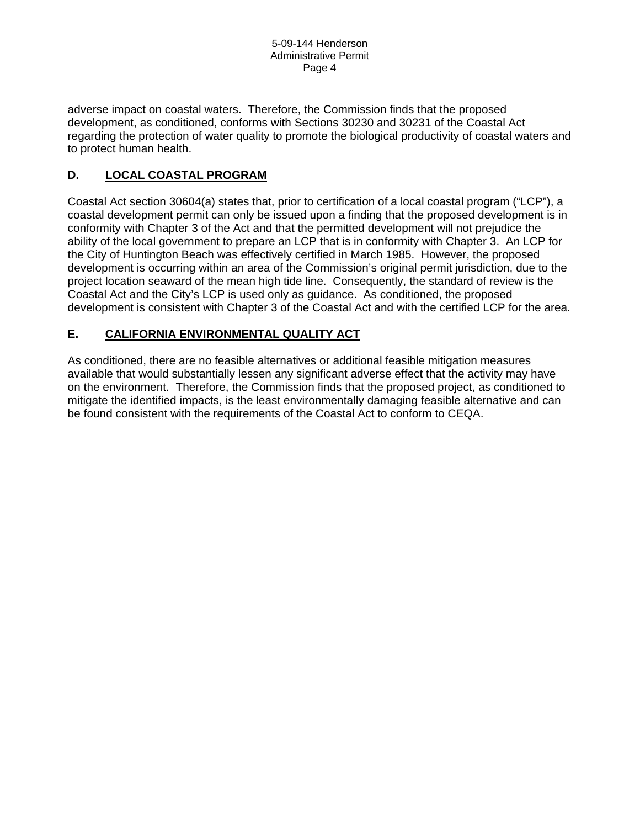adverse impact on coastal waters. Therefore, the Commission finds that the proposed development, as conditioned, conforms with Sections 30230 and 30231 of the Coastal Act regarding the protection of water quality to promote the biological productivity of coastal waters and to protect human health.

## **D. LOCAL COASTAL PROGRAM**

Coastal Act section 30604(a) states that, prior to certification of a local coastal program ("LCP"), a coastal development permit can only be issued upon a finding that the proposed development is in conformity with Chapter 3 of the Act and that the permitted development will not prejudice the ability of the local government to prepare an LCP that is in conformity with Chapter 3. An LCP for the City of Huntington Beach was effectively certified in March 1985. However, the proposed development is occurring within an area of the Commission's original permit jurisdiction, due to the project location seaward of the mean high tide line. Consequently, the standard of review is the Coastal Act and the City's LCP is used only as guidance. As conditioned, the proposed development is consistent with Chapter 3 of the Coastal Act and with the certified LCP for the area.

## **E. CALIFORNIA ENVIRONMENTAL QUALITY ACT**

As conditioned, there are no feasible alternatives or additional feasible mitigation measures available that would substantially lessen any significant adverse effect that the activity may have on the environment. Therefore, the Commission finds that the proposed project, as conditioned to mitigate the identified impacts, is the least environmentally damaging feasible alternative and can be found consistent with the requirements of the Coastal Act to conform to CEQA.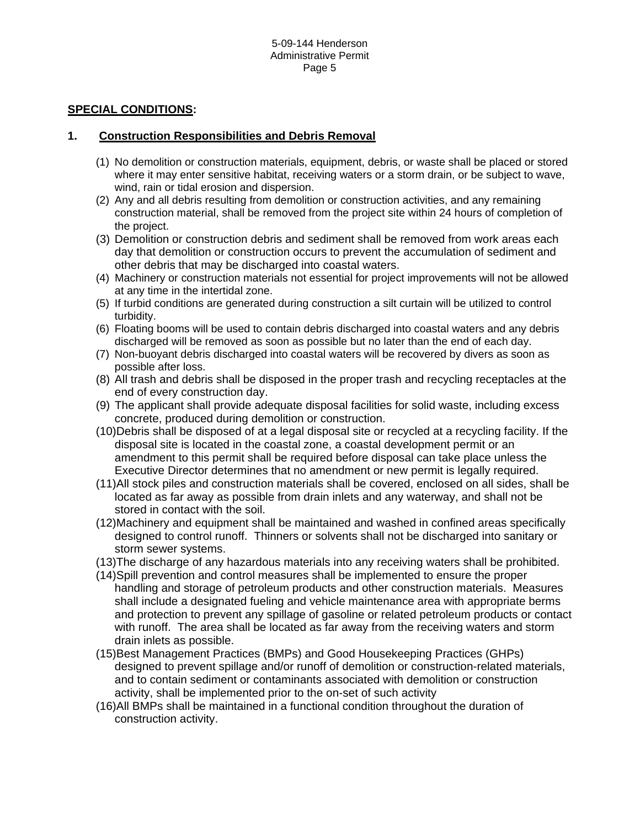## **SPECIAL CONDITIONS:**

### **1. Construction Responsibilities and Debris Removal**

- (1) No demolition or construction materials, equipment, debris, or waste shall be placed or stored where it may enter sensitive habitat, receiving waters or a storm drain, or be subject to wave, wind, rain or tidal erosion and dispersion.
- (2) Any and all debris resulting from demolition or construction activities, and any remaining construction material, shall be removed from the project site within 24 hours of completion of the project.
- (3) Demolition or construction debris and sediment shall be removed from work areas each day that demolition or construction occurs to prevent the accumulation of sediment and other debris that may be discharged into coastal waters.
- (4) Machinery or construction materials not essential for project improvements will not be allowed at any time in the intertidal zone.
- (5) If turbid conditions are generated during construction a silt curtain will be utilized to control turbidity.
- (6) Floating booms will be used to contain debris discharged into coastal waters and any debris discharged will be removed as soon as possible but no later than the end of each day.
- (7) Non-buoyant debris discharged into coastal waters will be recovered by divers as soon as possible after loss.
- (8) All trash and debris shall be disposed in the proper trash and recycling receptacles at the end of every construction day.
- (9) The applicant shall provide adequate disposal facilities for solid waste, including excess concrete, produced during demolition or construction.
- (10)Debris shall be disposed of at a legal disposal site or recycled at a recycling facility. If the disposal site is located in the coastal zone, a coastal development permit or an amendment to this permit shall be required before disposal can take place unless the Executive Director determines that no amendment or new permit is legally required.
- (11)All stock piles and construction materials shall be covered, enclosed on all sides, shall be located as far away as possible from drain inlets and any waterway, and shall not be stored in contact with the soil.
- (12)Machinery and equipment shall be maintained and washed in confined areas specifically designed to control runoff. Thinners or solvents shall not be discharged into sanitary or storm sewer systems.
- (13)The discharge of any hazardous materials into any receiving waters shall be prohibited.
- (14)Spill prevention and control measures shall be implemented to ensure the proper handling and storage of petroleum products and other construction materials. Measures shall include a designated fueling and vehicle maintenance area with appropriate berms and protection to prevent any spillage of gasoline or related petroleum products or contact with runoff. The area shall be located as far away from the receiving waters and storm drain inlets as possible.
- (15)Best Management Practices (BMPs) and Good Housekeeping Practices (GHPs) designed to prevent spillage and/or runoff of demolition or construction-related materials, and to contain sediment or contaminants associated with demolition or construction activity, shall be implemented prior to the on-set of such activity
- (16)All BMPs shall be maintained in a functional condition throughout the duration of construction activity.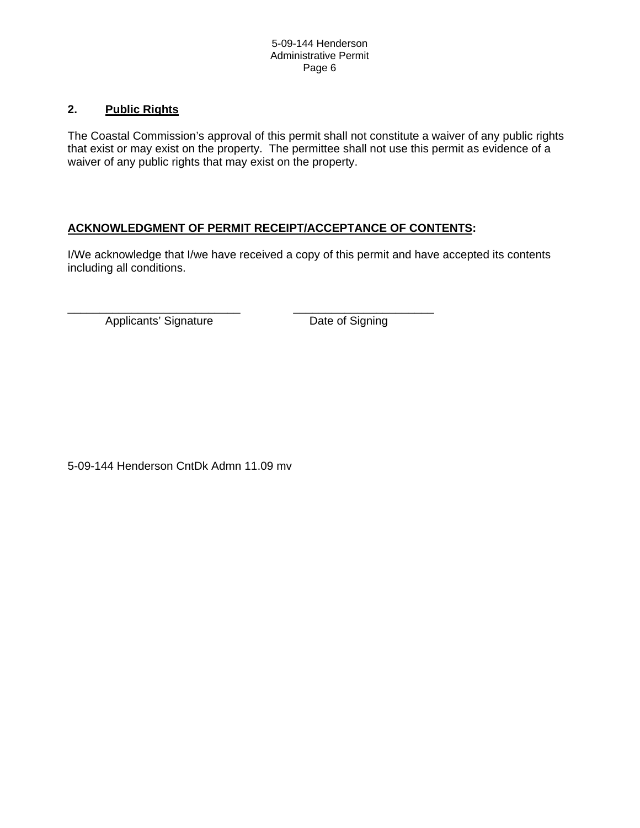## **2. Public Rights**

The Coastal Commission's approval of this permit shall not constitute a waiver of any public rights that exist or may exist on the property. The permittee shall not use this permit as evidence of a waiver of any public rights that may exist on the property.

## **ACKNOWLEDGMENT OF PERMIT RECEIPT/ACCEPTANCE OF CONTENTS:**

I/We acknowledge that I/we have received a copy of this permit and have accepted its contents including all conditions.

\_\_\_\_\_\_\_\_\_\_\_\_\_\_\_\_\_\_\_\_\_\_\_\_\_\_\_ \_\_\_\_\_\_\_\_\_\_\_\_\_\_\_\_\_\_\_\_\_\_ Applicants' Signature Date of Signing

5-09-144 Henderson CntDk Admn 11.09 mv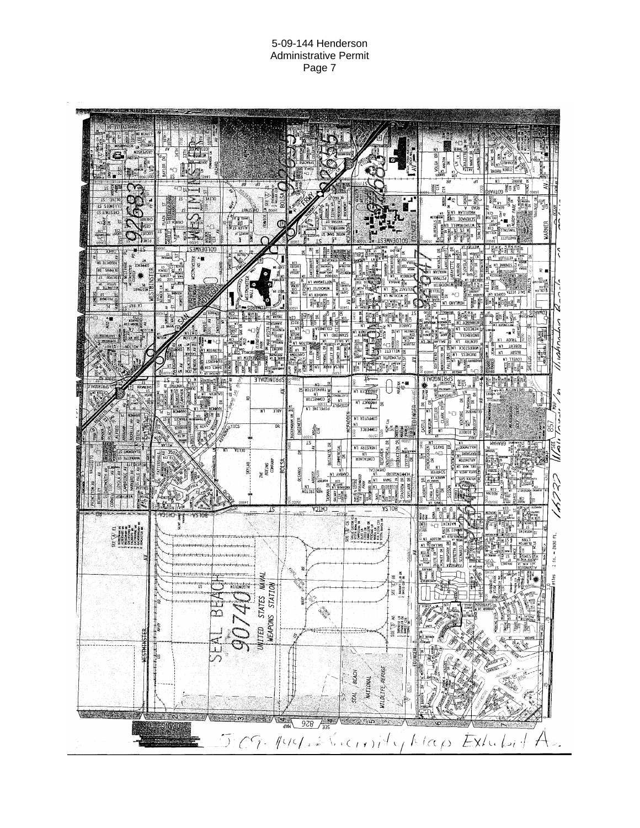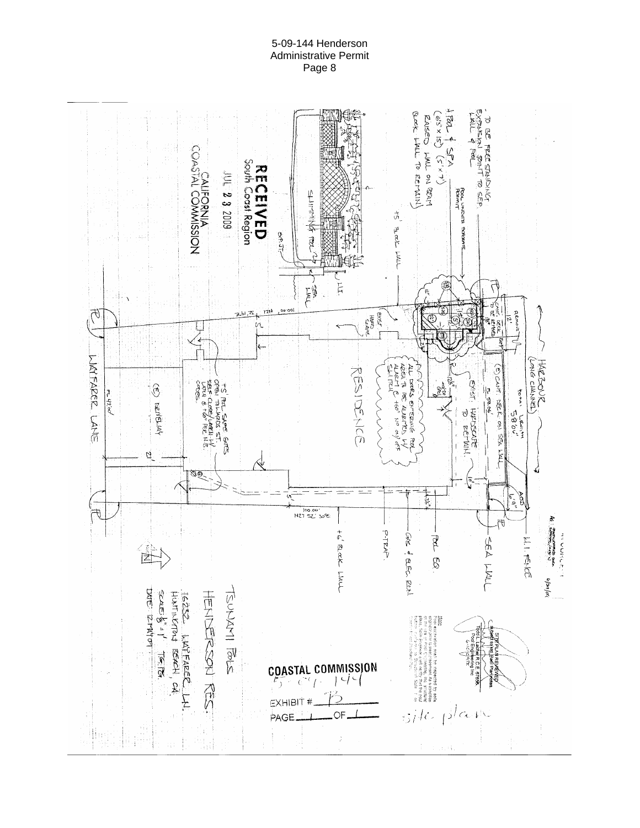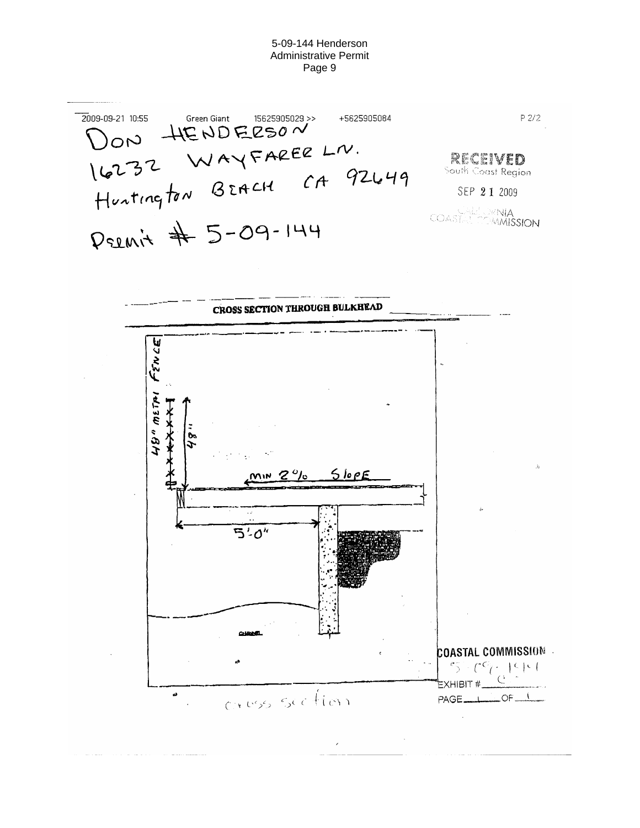#### 5-09-144 Henderson Administrative Permit Page 9